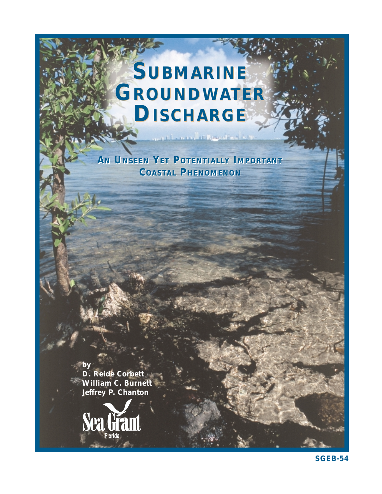# **SUBMARINE SUBMARINE GROUNDWATER GROUNDWATER DISCHARGE DISCHARGE**

*AN UNSEEN YET POTENTIALLY IMPORTANT AN UNSEEN YET POTENTIALLY IMPORTANT COASTAL PHENOMENON COASTAL PHENOMENON*

compatibilities and we

**by D. Reide Corbett William C. Burnett Jeffrey P. Chanton**



**SGEB-54**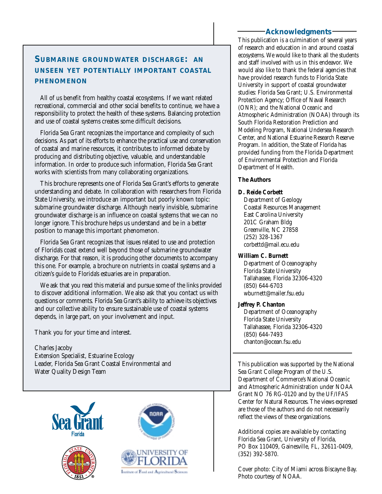## **Acknowledgments**

# **SUBMARINE GROUNDWATER DISCHARGE: AN UNSEEN YET POTENTIALLY IMPORTANT COASTAL PHENOMENON**

All of us benefit from healthy coastal ecosystems. If we want related recreational, commercial and other social benefits to continue, we have a responsibility to protect the health of these systems. Balancing protection and use of coastal systems creates some difficult decisions.

Florida Sea Grant recognizes the importance and complexity of such decisions. As part of its efforts to enhance the practical use and conservation of coastal and marine resources, it contributes to informed debate by producing and distributing objective, valuable, and understandable information. In order to produce such information, Florida Sea Grant works with scientists from many collaborating organizations.

This brochure represents one of Florida Sea Grant's efforts to generate understanding and debate. In collaboration with researchers from Florida State University, we introduce an important but poorly known topic: submarine groundwater discharge. Although nearly invisible, submarine groundwater discharge is an influence on coastal systems that we can no longer ignore. This brochure helps us understand and be in a better position to manage this important phenomenon.

Florida Sea Grant recognizes that issues related to use and protection of Florida's coast extend well beyond those of submarine groundwater discharge. For that reason, it is producing other documents to accompany this one. For example, a brochure on nutrients in coastal systems and a citizen's guide to Florida's estuaries are in preparation.

We ask that you read this material and pursue some of the links provided to discover additional information. We also ask that you contact us with questions or comments. Florida Sea Grant's ability to achieve its objectives and our collective ability to ensure sustainable use of coastal systems depends, in large part, on your involvement and input.

Thank you for your time and interest.

Charles Jacoby Extension Specialist, Estuarine Ecology Leader, Florida Sea Grant Coastal Environmental and Water Quality Design Team







Institute of Food and Agricultural Science

This publication is a culmination of several years of research and education in and around coastal ecosystems. We would like to thank all the students and staff involved with us in this endeavor. We would also like to thank the federal agencies that have provided research funds to Florida State University in support of coastal groundwater studies: Florida Sea Grant; U.S. Environmental Protection Agency; Office of Naval Research (ONR); and the National Oceanic and Atmospheric Administration (NOAA) through its South Florida Restoration Prediction and Modeling Program, National Undersea Research Center, and National Estuarine Research Reserve Program. In addition, the State of Florida has provided funding from the Florida Department of Environmental Protection and Florida Department of Health.

### **The Authors**

#### **D. Reide Corbett**

Department of Geology Coastal Resources Management East Carolina University 201C Graham Bldg Greenville, NC 27858 (252) 328-1367 corbettd@mail.ecu.edu

#### **William C. Burnett**

Department of Oceanography Florida State University Tallahassee, Florida 32306-4320 (850) 644-6703 wburnett@mailer.fsu.edu

### **Jeffrey P. Chanton**

Department of Oceanography Florida State University Tallahassee, Florida 32306-4320 (850) 644-7493 chanton@ocean.fsu.edu

This publication was supported by the National Sea Grant College Program of the U.S. Department of Commerce's National Oceanic and Atmospheric Administration under NOAA Grant NO 76 RG-0120 and by the UF/IFAS Center for Natural Resources. The views expressed are those of the authors and do not necessarily reflect the views of these organizations.

Additional copies are available by contacting Florida Sea Grant, University of Florida, PO Box 110409, Gainesville, FL, 32611-0409, (352) 392-5870.

Cover photo: City of Miami across Biscayne Bay. Photo courtesy of NOAA.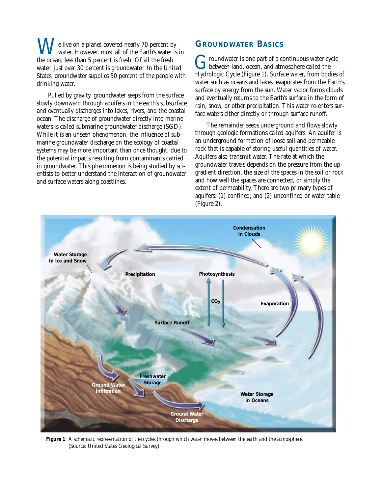e live on a planet covered nearly 70 percent by water. However, most all of the Earth's water is in the ocean; less than 5 percent is fresh. Of all the fresh water, just over 30 percent is groundwater. In the United States, groundwater supplies 50 percent of the people with drinking water.

Pulled by gravity, groundwater seeps from the surface slowly downward through aquifers in the earth's subsurface and eventually discharges into lakes, rivers, and the coastal ocean. The discharge of groundwater directly into marine waters is called submarine groundwater discharge (SGD). While it is an unseen phenomenon, the influence of submarine groundwater discharge on the ecology of coastal systems may be more important than once thought, due to the potential impacts resulting from contaminants carried in groundwater. This phenomenon is being studied by scientists to better understand the interaction of groundwater and surface waters along coastlines.

## **GROUNDWATER BASICS**

 $\blacksquare$  roundwater is one part of a continuous water cycle between land, ocean, and atmosphere called the Hydrologic Cycle (Figure 1). Surface water, from bodies of water such as oceans and lakes, evaporates from the Earth's surface by energy from the sun. Water vapor forms clouds and eventually returns to the Earth's surface in the form of rain, snow, or other precipitation. This water re-enters surface waters either directly or through surface runoff.

The remainder seeps underground and flows slowly through geologic formations called aquifers. An aquifer is an underground formation of loose soil and permeable rock that is capable of storing useful quantities of water. Aquifers also transmit water. The rate at which the groundwater travels depends on the pressure from the upgradient direction, the size of the spaces in the soil or rock and how well the spaces are connected, or simply the extent of permeability. There are two primary types of aquifers: (1) confined; and (2) unconfined or water table (Figure 2).



**Figure 1**: A schematic representation of the cycles through which water moves between the earth and the atmosphere. (Source: United States Geological Survey)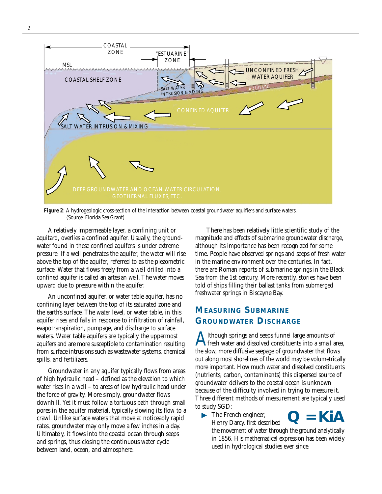

**Figure 2**: A hydrogeologic cross-section of the interaction between coastal groundwater aquifiers and surface waters. (Source: Florida Sea Grant)

A relatively impermeable layer, a confining unit or aquitard, overlies a confined aquifer. Usually, the groundwater found in these confined aquifers is under extreme pressure. If a well penetrates the aquifer, the water will rise above the top of the aquifer, referred to as the piezometric surface. Water that flows freely from a well drilled into a confined aquifer is called an artesian well. The water moves upward due to pressure within the aquifer.

An unconfined aquifer, or water table aquifer, has no confining layer between the top of its saturated zone and the earth's surface. The water level, or water table, in this aquifer rises and falls in response to infiltration of rainfall, evapotranspiration, pumpage, and discharge to surface waters. Water table aquifers are typically the uppermost aquifers and are more susceptible to contamination resulting from surface intrusions such as wastewater systems, chemical spills, and fertilizers.

Groundwater in any aquifer typically flows from areas of high hydraulic head – defined as the elevation to which water rises in a well – to areas of low hydraulic head under the force of gravity. More simply, groundwater flows downhill. Yet it must follow a tortuous path through small pores in the aquifer material, typically slowing its flow to a crawl. Unlike surface waters that move at noticeably rapid rates, groundwater may only move a few inches in a day. Ultimately, it flows into the coastal ocean through seeps and springs, thus closing the continuous water cycle between land, ocean, and atmosphere.

There has been relatively little scientific study of the magnitude and effects of submarine groundwater discharge, although its importance has been recognized for some time. People have observed springs and seeps of fresh water in the marine environment over the centuries. In fact, there are Roman reports of submarine springs in the Black Sea from the 1st century. More recently, stories have been told of ships filling their ballast tanks from submerged freshwater springs in Biscayne Bay.

## **MEASURING SUBMARINE GROUNDWATER DISCHARGE**

Although springs and seeps funnel large amounts of<br>the slew mass diffusive sensors of groundwater that flavor the slow, more diffusive seepage of groundwater that flows out along most shorelines of the world may be volumetrically more important. How much water and dissolved constituents (nutrients, carbon, contaminants) this dispersed source of groundwater delivers to the coastal ocean is unknown because of the difficulty involved in trying to measure it. Three different methods of measurement are typically used to study SGD:

• The French engineer, Henry Darcy, first described

the movement of water through the ground analytically in 1856. His mathematical expression has been widely used in hydrological studies ever since.

**КІД**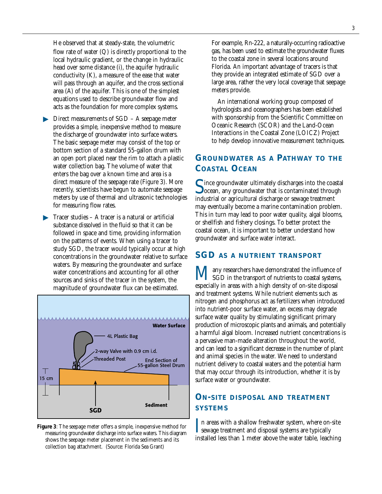He observed that at steady-state, the volumetric flow rate of water (Q) is directly proportional to the local hydraulic gradient, or the change in hydraulic head over some distance (i), the aquifer hydraulic conductivity (K), a measure of the ease that water will pass through an aquifer, and the cross sectional area (A) of the aquifer. This is one of the simplest equations used to describe groundwater flow and acts as the foundation for more complex systems.

- ▶ Direct measurements of SGD A seepage meter provides a simple, inexpensive method to measure the discharge of groundwater into surface waters. The basic seepage meter may consist of the top or bottom section of a standard 55-gallon drum with an open port placed near the rim to attach a plastic water collection bag. The volume of water that enters the bag over a known time and area is a direct measure of the seepage rate (Figure 3). More recently, scientists have begun to automate seepage meters by use of thermal and ultrasonic technologies for measuring flow rates.
- $\blacktriangleright$  Tracer studies A tracer is a natural or artificial substance dissolved in the fluid so that it can be followed in space and time, providing information on the patterns of events. When using a tracer to study SGD, the tracer would typically occur at high concentrations in the groundwater relative to surface waters. By measuring the groundwater and surface water concentrations and accounting for all other sources and sinks of the tracer in the system, the magnitude of groundwater flux can be estimated.



**Figure 3**: The seepage meter offers a simple, inexpensive method for measuring groundwater discharge into surface waters. This diagram shows the seepage meter placement in the sediments and its collection bag attachment. (Source: Florida Sea Grant)

For example, Rn-222, a naturally-occurring radioactive gas, has been used to estimate the groundwater fluxes to the coastal zone in several locations around Florida. An important advantage of tracers is that they provide an integrated estimate of SGD over a large area, rather the very local coverage that seepage meters provide.

An international working group composed of hydrologists and oceanographers has been established with sponsorship from the Scientific Committee on Oceanic Research (SCOR) and the Land-Ocean Interactions in the Coastal Zone (LOICZ) Project to help develop innovative measurement techniques.

## **GROUNDWATER AS A PATHWAY TO THE COASTAL OCEAN**

 $\blacksquare$  ince groundwater ultimately discharges into the coastal **O** ocean, any groundwater that is contaminated through industrial or agricultural discharge or sewage treatment may eventually become a marine contamination problem. This in turn may lead to poor water quality, algal blooms, or shellfish and fishery closings. To better protect the coastal ocean, it is important to better understand how groundwater and surface water interact.

## **SGD AS A NUTRIENT TRANSPORT**

**M** any researchers have demonstrated the influence of SGD in the transport of nutrients to coastal systems, especially in areas with a high density of on-site disposal and treatment systems. While nutrient elements such as nitrogen and phosphorus act as fertilizers when introduced into nutrient-poor surface water, an excess may degrade surface water quality by stimulating significant primary production of microscopic plants and animals, and potentially a harmful algal bloom. Increased nutrient concentrations is a pervasive man-made alteration throughout the world, and can lead to a significant decrease in the number of plant and animal species in the water. We need to understand nutrient delivery to coastal waters and the potential harm that may occur through its introduction, whether it is by surface water or groundwater.

## **ON-SITE DISPOSAL AND TREATMENT SYSTEMS**

In areas with a shallow freshwater system, where on-<br>sewage treatment and disposal systems are typically<br>installed less than 1 meter shows the water table lead I n areas with a shallow freshwater system, where on-site installed less than 1 meter above the water table, leaching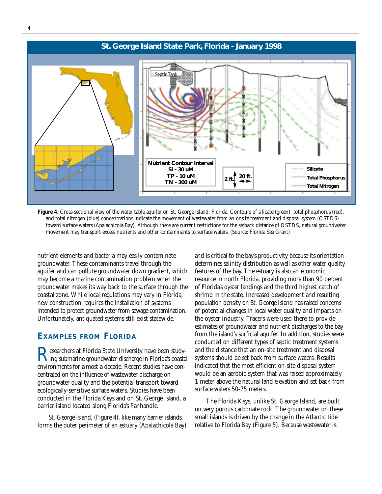

Figure 4: Cross-sectional view of the water table aquifer on St. George Island, Florida. Contours of silicate (green), total phosphorus (red), and total nitrogen (blue) concentrations indicate the movement of wastewater from an onsite treatment and disposal system (OSTDS) toward surface waters (Apalachicola Bay). Although there are current restrictions for the setback distance of OSTDS, natural groundwater movement may transport excess nutrients and other contaminants to surface waters. (Source: Florida Sea Grant)

nutrient elements and bacteria may easily contaminate groundwater. These contaminants travel through the aquifer and can pollute groundwater down gradient, which may become a marine contamination problem when the groundwater makes its way back to the surface through the coastal zone. While local regulations may vary in Florida, new construction requires the installation of systems intended to protect groundwater from sewage contamination. Unfortunately, antiquated systems still exist statewide.

#### **EXAMPLES FROM FLORIDA**

Researchers at Florida State University have been study-<br>submarine groundwater discharge in Florida's coastal<br>authority for clineate a decede. Becaust studies have easy environments for almost a decade. Recent studies have concentrated on the influence of wastewater discharge on groundwater quality and the potential transport toward ecologically-sensitive surface waters. Studies have been conducted in the Florida Keys and on St. George Island, a barrier island located along Florida's Panhandle.

St. George Island, (Figure 4), like many barrier islands, forms the outer perimeter of an estuary (Apalachicola Bay) and is critical to the bay's productivity because its orientation determines salinity distribution as well as other water quality features of the bay. The estuary is also an economic resource in north Florida, providing more than 90 percent of Florida's oyster landings and the third highest catch of shrimp in the state. Increased development and resulting population density on St. George Island has raised concerns of potential changes in local water quality and impacts on the oyster industry. Tracers were used there to provide estimates of groundwater and nutrient discharges to the bay from the island's surficial aquifer. In addition, studies were conducted on different types of septic treatment systems and the distance that an on-site treatment and disposal systems should be set back from surface waters. Results indicated that the most efficient on-site disposal system would be an aerobic system that was raised approximately 1 meter above the natural land elevation and set back from surface waters 50-75 meters.

The Florida Keys, unlike St. George Island, are built on very porous carbonate rock. The groundwater on these small islands is driven by the change in the Atlantic tide relative to Florida Bay (Figure 5). Because wastewater is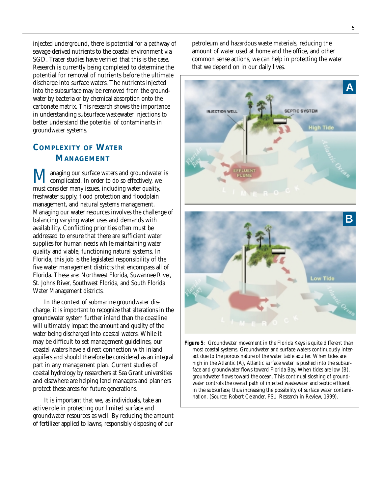injected underground, there is potential for a pathway of sewage-derived nutrients to the coastal environment via SGD. Tracer studies have verified that this is the case. Research is currently being completed to determine the potential for removal of nutrients before the ultimate discharge into surface waters. The nutrients injected into the subsurface may be removed from the groundwater by bacteria or by chemical absorption onto the carbonate matrix. This research shows the importance in understanding subsurface wastewater injections to better understand the potential of contaminants in groundwater systems.

## **COMPLEXITY OF WATER MANAGEMENT**

**Managing our surface waters and groundwater is**<br>complicated. In order to do so effectively, we must consider many issues, including water quality, freshwater supply, flood protection and floodplain management, and natural systems management. Managing our water resources involves the challenge of balancing varying water uses and demands with availability. Conflicting priorities often must be addressed to ensure that there are sufficient water supplies for human needs while maintaining water quality and viable, functioning natural systems. In Florida, this job is the legislated responsibility of the five water management districts that encompass all of Florida. These are: Northwest Florida, Suwannee River, St. Johns River, Southwest Florida, and South Florida Water Management districts.

In the context of submarine groundwater discharge, it is important to recognize that alterations in the groundwater system further inland than the coastline will ultimately impact the amount and quality of the water being discharged into coastal waters. While it may be difficult to set management guidelines, our coastal waters have a direct connection with inland aquifers and should therefore be considered as an integral part in any management plan. Current studies of coastal hydrology by researchers at Sea Grant universities and elsewhere are helping land managers and planners protect these areas for future generations.

It is important that we, as individuals, take an active role in protecting our limited surface and groundwater resources as well. By reducing the amount of fertilizer applied to lawns, responsibly disposing of our petroleum and hazardous waste materials, reducing the amount of water used at home and the office, and other common sense actions, we can help in protecting the water that we depend on in our daily lives.



most coastal systems. Groundwater and surface waters continuously interact due to the porous nature of the water table aquifer. When tides are high in the Atlantic (A), Atlantic surface water is pushed into the subsurface and groundwater flows toward Florida Bay. When tides are low (B), groundwater flows toward the ocean. This continual sloshing of groundwater controls the overall path of injected wastewater and septic effluent in the subsurface, thus increasing the possibility of surface water contamination. (Source: Robert Celander, FSU Research in Review, 1999).